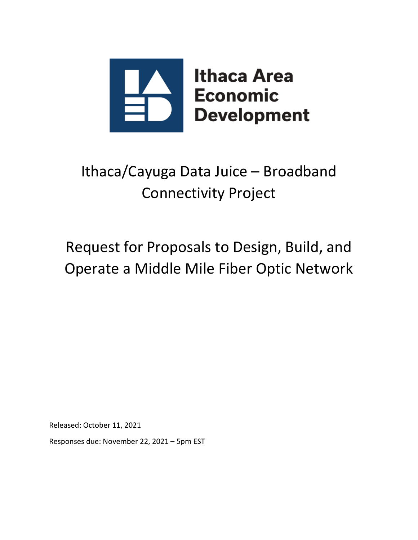

# Ithaca/Cayuga Data Juice – Broadband Connectivity Project

# Request for Proposals to Design, Build, and Operate a Middle Mile Fiber Optic Network

Released: October 11, 2021

Responses due: November 22, 2021 – 5pm EST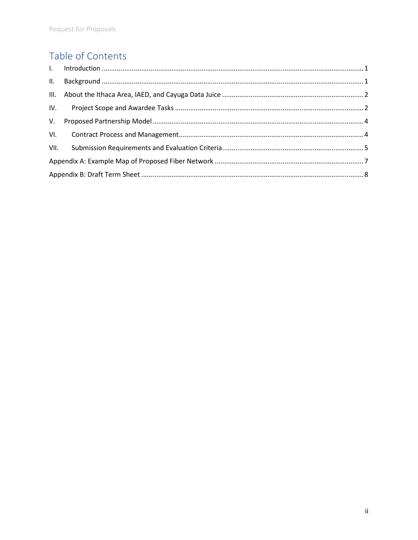# Table of Contents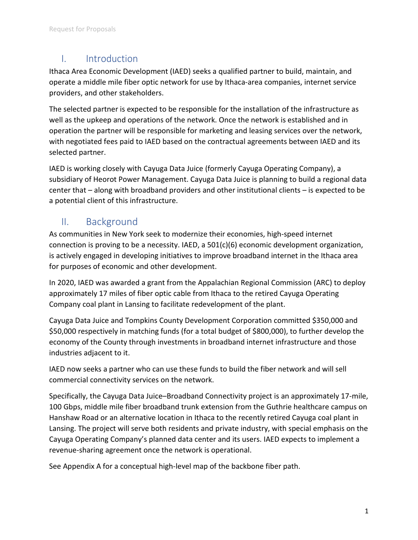## I. Introduction

Ithaca Area Economic Development (IAED) seeks a qualified partner to build, maintain, and operate a middle mile fiber optic network for use by Ithaca-area companies, internet service providers, and other stakeholders.

The selected partner is expected to be responsible for the installation of the infrastructure as well as the upkeep and operations of the network. Once the network is established and in operation the partner will be responsible for marketing and leasing services over the network, with negotiated fees paid to IAED based on the contractual agreements between IAED and its selected partner.

IAED is working closely with Cayuga Data Juice (formerly Cayuga Operating Company), a subsidiary of Heorot Power Management. Cayuga Data Juice is planning to build a regional data center that – along with broadband providers and other institutional clients – is expected to be a potential client of this infrastructure.

## II. Background

As communities in New York seek to modernize their economies, high-speed internet connection is proving to be a necessity. IAED, a 501(c)(6) economic development organization, is actively engaged in developing initiatives to improve broadband internet in the Ithaca area for purposes of economic and other development.

In 2020, IAED was awarded a grant from the Appalachian Regional Commission (ARC) to deploy approximately 17 miles of fiber optic cable from Ithaca to the retired Cayuga Operating Company coal plant in Lansing to facilitate redevelopment of the plant.

Cayuga Data Juice and Tompkins County Development Corporation committed \$350,000 and \$50,000 respectively in matching funds (for a total budget of \$800,000), to further develop the economy of the County through investments in broadband internet infrastructure and those industries adjacent to it.

IAED now seeks a partner who can use these funds to build the fiber network and will sell commercial connectivity services on the network.

Specifically, the Cayuga Data Juice–Broadband Connectivity project is an approximately 17-mile, 100 Gbps, middle mile fiber broadband trunk extension from the Guthrie healthcare campus on Hanshaw Road or an alternative location in Ithaca to the recently retired Cayuga coal plant in Lansing. The project will serve both residents and private industry, with special emphasis on the Cayuga Operating Company's planned data center and its users. IAED expects to implement a revenue-sharing agreement once the network is operational.

See Appendix A for a conceptual high-level map of the backbone fiber path.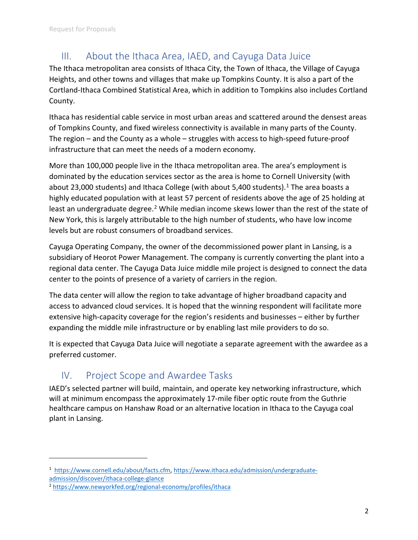# III. About the Ithaca Area, IAED, and Cayuga Data Juice

The Ithaca metropolitan area consists of Ithaca City, the Town of Ithaca, the Village of Cayuga Heights, and other towns and villages that make up Tompkins County. It is also a part of the Cortland-Ithaca Combined Statistical Area, which in addition to Tompkins also includes Cortland County.

Ithaca has residential cable service in most urban areas and scattered around the densest areas of Tompkins County, and fixed wireless connectivity is available in many parts of the County. The region – and the County as a whole – struggles with access to high-speed future-proof infrastructure that can meet the needs of a modern economy.

More than 100,000 people live in the Ithaca metropolitan area. The area's employment is dominated by the education services sector as the area is home to Cornell University (with about 23,000 students) and Ithaca College (with about 5,400 students).<sup>1</sup> The area boasts a highly educated population with at least 57 percent of residents above the age of 25 holding at least an undergraduate degree.<sup>2</sup> While median income skews lower than the rest of the state of New York, this is largely attributable to the high number of students, who have low income levels but are robust consumers of broadband services.

Cayuga Operating Company, the owner of the decommissioned power plant in Lansing, is a subsidiary of Heorot Power Management. The company is currently converting the plant into a regional data center. The Cayuga Data Juice middle mile project is designed to connect the data center to the points of presence of a variety of carriers in the region.

The data center will allow the region to take advantage of higher broadband capacity and access to advanced cloud services. It is hoped that the winning respondent will facilitate more extensive high-capacity coverage for the region's residents and businesses – either by further expanding the middle mile infrastructure or by enabling last mile providers to do so.

It is expected that Cayuga Data Juice will negotiate a separate agreement with the awardee as a preferred customer.

# IV. Project Scope and Awardee Tasks

IAED's selected partner will build, maintain, and operate key networking infrastructure, which will at minimum encompass the approximately 17-mile fiber optic route from the Guthrie healthcare campus on Hanshaw Road or an alternative location in Ithaca to the Cayuga coal plant in Lansing.

<sup>1</sup> https://www.cornell.edu/about/facts.cfm, https://www.ithaca.edu/admission/undergraduateadmission/discover/ithaca-college-glance

<sup>2</sup> https://www.newyorkfed.org/regional-economy/profiles/ithaca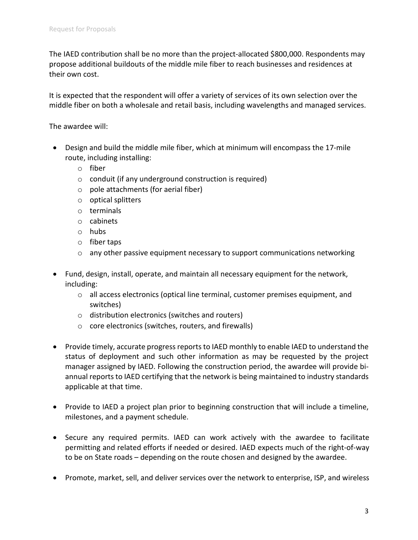The IAED contribution shall be no more than the project-allocated \$800,000. Respondents may propose additional buildouts of the middle mile fiber to reach businesses and residences at their own cost.

It is expected that the respondent will offer a variety of services of its own selection over the middle fiber on both a wholesale and retail basis, including wavelengths and managed services.

The awardee will:

- Design and build the middle mile fiber, which at minimum will encompass the 17-mile route, including installing:
	- o fiber
	- o conduit (if any underground construction is required)
	- $\circ$  pole attachments (for aerial fiber)
	- o optical splitters
	- o terminals
	- o cabinets
	- o hubs
	- o fiber taps
	- o any other passive equipment necessary to support communications networking
- Fund, design, install, operate, and maintain all necessary equipment for the network, including:
	- $\circ$  all access electronics (optical line terminal, customer premises equipment, and switches)
	- o distribution electronics (switches and routers)
	- o core electronics (switches, routers, and firewalls)
- Provide timely, accurate progress reports to IAED monthly to enable IAED to understand the status of deployment and such other information as may be requested by the project manager assigned by IAED. Following the construction period, the awardee will provide biannual reports to IAED certifying that the network is being maintained to industry standards applicable at that time.
- Provide to IAED a project plan prior to beginning construction that will include a timeline, milestones, and a payment schedule.
- Secure any required permits. IAED can work actively with the awardee to facilitate permitting and related efforts if needed or desired. IAED expects much of the right-of-way to be on State roads – depending on the route chosen and designed by the awardee.
- Promote, market, sell, and deliver services over the network to enterprise, ISP, and wireless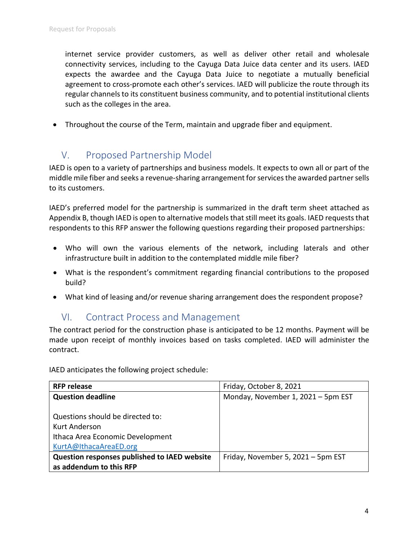internet service provider customers, as well as deliver other retail and wholesale connectivity services, including to the Cayuga Data Juice data center and its users. IAED expects the awardee and the Cayuga Data Juice to negotiate a mutually beneficial agreement to cross-promote each other's services. IAED will publicize the route through its regular channels to its constituent business community, and to potential institutional clients such as the colleges in the area.

• Throughout the course of the Term, maintain and upgrade fiber and equipment.

# V. Proposed Partnership Model

IAED is open to a variety of partnerships and business models. It expects to own all or part of the middle mile fiber and seeks a revenue-sharing arrangement for services the awarded partner sells to its customers.

IAED's preferred model for the partnership is summarized in the draft term sheet attached as Appendix B, though IAED is open to alternative models that still meet its goals. IAED requests that respondents to this RFP answer the following questions regarding their proposed partnerships:

- Who will own the various elements of the network, including laterals and other infrastructure built in addition to the contemplated middle mile fiber?
- What is the respondent's commitment regarding financial contributions to the proposed build?
- What kind of leasing and/or revenue sharing arrangement does the respondent propose?

### VI. Contract Process and Management

The contract period for the construction phase is anticipated to be 12 months. Payment will be made upon receipt of monthly invoices based on tasks completed. IAED will administer the contract.

IAED anticipates the following project schedule:

| <b>RFP release</b>                           | Friday, October 8, 2021            |
|----------------------------------------------|------------------------------------|
| <b>Question deadline</b>                     | Monday, November 1, 2021 - 5pm EST |
|                                              |                                    |
| Questions should be directed to:             |                                    |
| Kurt Anderson                                |                                    |
| Ithaca Area Economic Development             |                                    |
| KurtA@IthacaAreaED.org                       |                                    |
| Question responses published to IAED website | Friday, November 5, 2021 - 5pm EST |
| as addendum to this RFP                      |                                    |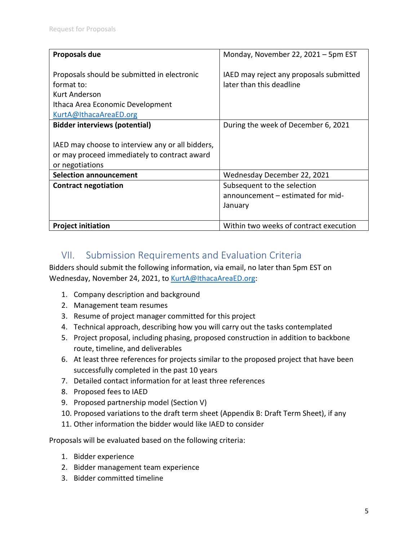| Proposals due                                                                                                                            | Monday, November 22, 2021 - 5pm EST                                         |
|------------------------------------------------------------------------------------------------------------------------------------------|-----------------------------------------------------------------------------|
| Proposals should be submitted in electronic<br>format to:<br>Kurt Anderson<br>Ithaca Area Economic Development<br>KurtA@IthacaAreaED.org | IAED may reject any proposals submitted<br>later than this deadline         |
| <b>Bidder interviews (potential)</b>                                                                                                     | During the week of December 6, 2021                                         |
| IAED may choose to interview any or all bidders,<br>or may proceed immediately to contract award<br>or negotiations                      |                                                                             |
| <b>Selection announcement</b>                                                                                                            | Wednesday December 22, 2021                                                 |
| <b>Contract negotiation</b>                                                                                                              | Subsequent to the selection<br>announcement - estimated for mid-<br>January |
| <b>Project initiation</b>                                                                                                                | Within two weeks of contract execution                                      |

# VII. Submission Requirements and Evaluation Criteria

Bidders should submit the following information, via email, no later than 5pm EST on Wednesday, November 24, 2021, to KurtA@IthacaAreaED.org:

- 1. Company description and background
- 2. Management team resumes
- 3. Resume of project manager committed for this project
- 4. Technical approach, describing how you will carry out the tasks contemplated
- 5. Project proposal, including phasing, proposed construction in addition to backbone route, timeline, and deliverables
- 6. At least three references for projects similar to the proposed project that have been successfully completed in the past 10 years
- 7. Detailed contact information for at least three references
- 8. Proposed fees to IAED
- 9. Proposed partnership model (Section V)
- 10. Proposed variations to the draft term sheet (Appendix B: Draft Term Sheet), if any
- 11. Other information the bidder would like IAED to consider

Proposals will be evaluated based on the following criteria:

- 1. Bidder experience
- 2. Bidder management team experience
- 3. Bidder committed timeline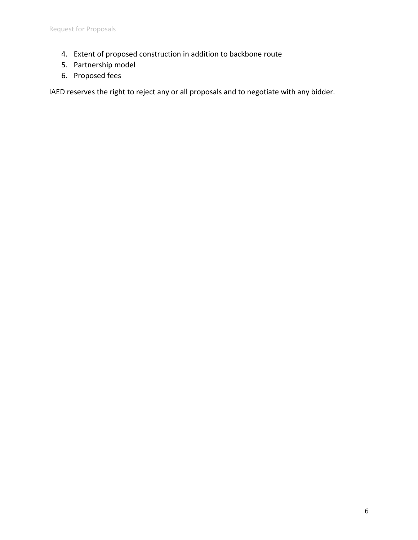- 4. Extent of proposed construction in addition to backbone route
- 5. Partnership model
- 6. Proposed fees

IAED reserves the right to reject any or all proposals and to negotiate with any bidder.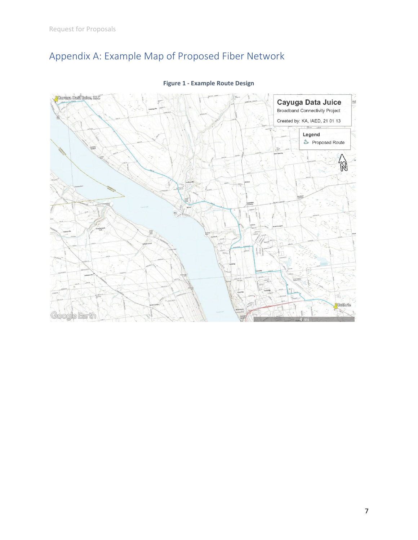# Appendix A: Example Map of Proposed Fiber Network



### **Figure 1 - Example Route Design**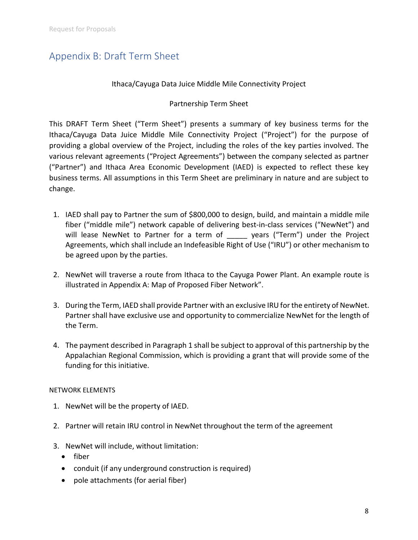# Appendix B: Draft Term Sheet

### Ithaca/Cayuga Data Juice Middle Mile Connectivity Project

### Partnership Term Sheet

This DRAFT Term Sheet ("Term Sheet") presents a summary of key business terms for the Ithaca/Cayuga Data Juice Middle Mile Connectivity Project ("Project") for the purpose of providing a global overview of the Project, including the roles of the key parties involved. The various relevant agreements ("Project Agreements") between the company selected as partner ("Partner") and Ithaca Area Economic Development (IAED) is expected to reflect these key business terms. All assumptions in this Term Sheet are preliminary in nature and are subject to change.

- 1. IAED shall pay to Partner the sum of \$800,000 to design, build, and maintain a middle mile fiber ("middle mile") network capable of delivering best-in-class services ("NewNet") and will lease NewNet to Partner for a term of years ("Term") under the Project Agreements, which shall include an Indefeasible Right of Use ("IRU") or other mechanism to be agreed upon by the parties.
- 2. NewNet will traverse a route from Ithaca to the Cayuga Power Plant. An example route is illustrated in Appendix A: Map of Proposed Fiber Network".
- 3. During the Term, IAED shall provide Partner with an exclusive IRU for the entirety of NewNet. Partner shall have exclusive use and opportunity to commercialize NewNet for the length of the Term.
- 4. The payment described in Paragraph 1 shall be subject to approval of this partnership by the Appalachian Regional Commission, which is providing a grant that will provide some of the funding for this initiative.

### NETWORK ELEMENTS

- 1. NewNet will be the property of IAED.
- 2. Partner will retain IRU control in NewNet throughout the term of the agreement
- 3. NewNet will include, without limitation:
	- $\bullet$  fiber
	- conduit (if any underground construction is required)
	- $\bullet$  pole attachments (for aerial fiber)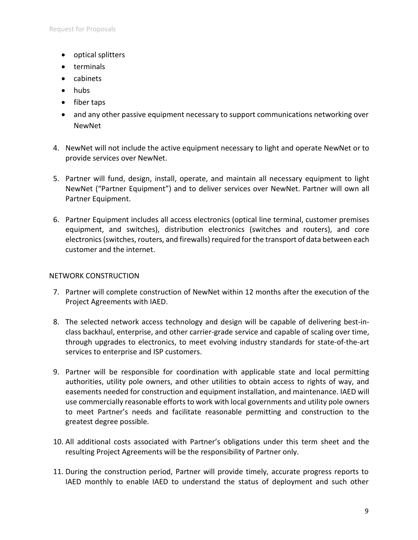- optical splitters
- terminals
- cabinets
- $\bullet$  hubs
- $\bullet$  fiber taps
- and any other passive equipment necessary to support communications networking over NewNet
- 4. NewNet will not include the active equipment necessary to light and operate NewNet or to provide services over NewNet.
- 5. Partner will fund, design, install, operate, and maintain all necessary equipment to light NewNet ("Partner Equipment") and to deliver services over NewNet. Partner will own all Partner Equipment.
- 6. Partner Equipment includes all access electronics (optical line terminal, customer premises equipment, and switches), distribution electronics (switches and routers), and core electronics (switches, routers, and firewalls) required for the transport of data between each customer and the internet.

### NETWORK CONSTRUCTION

- 7. Partner will complete construction of NewNet within 12 months after the execution of the Project Agreements with IAED.
- 8. The selected network access technology and design will be capable of delivering best-inclass backhaul, enterprise, and other carrier-grade service and capable of scaling over time, through upgrades to electronics, to meet evolving industry standards for state-of-the-art services to enterprise and ISP customers.
- 9. Partner will be responsible for coordination with applicable state and local permitting authorities, utility pole owners, and other utilities to obtain access to rights of way, and easements needed for construction and equipment installation, and maintenance. IAED will use commercially reasonable efforts to work with local governments and utility pole owners to meet Partner's needs and facilitate reasonable permitting and construction to the greatest degree possible.
- 10. All additional costs associated with Partner's obligations under this term sheet and the resulting Project Agreements will be the responsibility of Partner only.
- 11. During the construction period, Partner will provide timely, accurate progress reports to IAED monthly to enable IAED to understand the status of deployment and such other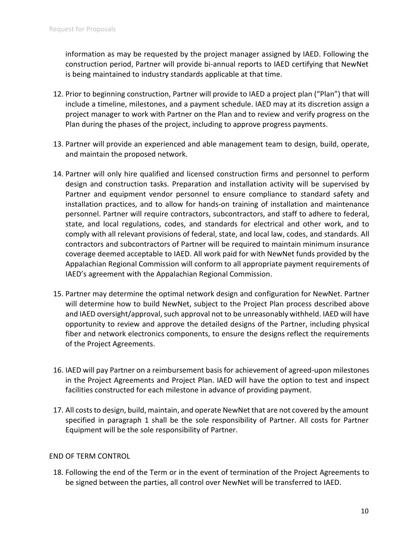information as may be requested by the project manager assigned by IAED. Following the construction period, Partner will provide bi-annual reports to IAED certifying that NewNet is being maintained to industry standards applicable at that time.

- 12. Prior to beginning construction, Partner will provide to IAED a project plan ("Plan") that will include a timeline, milestones, and a payment schedule. IAED may at its discretion assign a project manager to work with Partner on the Plan and to review and verify progress on the Plan during the phases of the project, including to approve progress payments.
- 13. Partner will provide an experienced and able management team to design, build, operate, and maintain the proposed network.
- 14. Partner will only hire qualified and licensed construction firms and personnel to perform design and construction tasks. Preparation and installation activity will be supervised by Partner and equipment vendor personnel to ensure compliance to standard safety and installation practices, and to allow for hands-on training of installation and maintenance personnel. Partner will require contractors, subcontractors, and staff to adhere to federal, state, and local regulations, codes, and standards for electrical and other work, and to comply with all relevant provisions of federal, state, and local law, codes, and standards. All contractors and subcontractors of Partner will be required to maintain minimum insurance coverage deemed acceptable to IAED. All work paid for with NewNet funds provided by the Appalachian Regional Commission will conform to all appropriate payment requirements of IAED's agreement with the Appalachian Regional Commission.
- 15. Partner may determine the optimal network design and configuration for NewNet. Partner will determine how to build NewNet, subject to the Project Plan process described above and IAED oversight/approval, such approval not to be unreasonably withheld. IAED will have opportunity to review and approve the detailed designs of the Partner, including physical fiber and network electronics components, to ensure the designs reflect the requirements of the Project Agreements.
- 16. IAED will pay Partner on a reimbursement basis for achievement of agreed-upon milestones in the Project Agreements and Project Plan. IAED will have the option to test and inspect facilities constructed for each milestone in advance of providing payment.
- 17. All costs to design, build, maintain, and operate NewNet that are not covered by the amount specified in paragraph 1 shall be the sole responsibility of Partner. All costs for Partner Equipment will be the sole responsibility of Partner.

### END OF TERM CONTROL

18. Following the end of the Term or in the event of termination of the Project Agreements to be signed between the parties, all control over NewNet will be transferred to IAED.